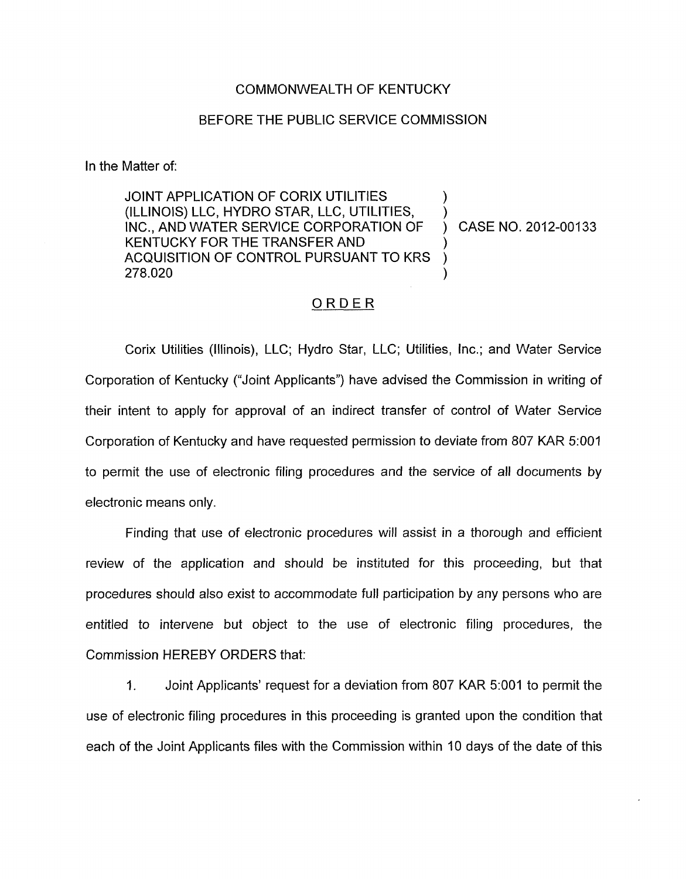## COMMONWEALTH OF KENTUCKY

## BEFORE THE PUBLIC SERVICE COMMISSION

In the Matter of:

JOINT APPLICATION OF CORIX UTILITIES (ILLINOIS) LLC, HYDRO STAR, LLC, UTILITIES, INC., AND WATER SERVICE CORPORATION OF ) CASE NO. 2012-00133 KENTUCKY FOR THE TRANSFER AND ACQUISITION OF CONTROL PURSUANT TO KRS<br>278.020  $278.020$  )  $\sum_{i=1}^{n}$ 

## ORDER

Corix Utilities (Illinois), LLC; Hydro Star, LLC; Utilities, Inc.; and Water Service Corporation of Kentucky ("Joint Applicants") have advised the Commission in writing of their intent to apply for approval of an indirect transfer of control of Water Service Corporation of Kentucky and have requested permission to deviate from 807 KAR 5:001 to permit the use of electronic filing procedures and the service of all documents by electronic means only.

Finding that use of electronic procedures will assist in a thorough and efficient review of the application and should be instituted for this proceeding, but that procedures should also exist to accommodate full participation by any persons who are entitled to intervene but object to the use of electronic filing procedures, the Commission HEREBY ORDERS that:

1. Joint Applicants' request for a deviation from 807 KAR 5:001 to permit the use of electronic filing procedures in this proceeding is granted upon the condition that each of the Joint Applicants files with the Commission within 10 days of the date of this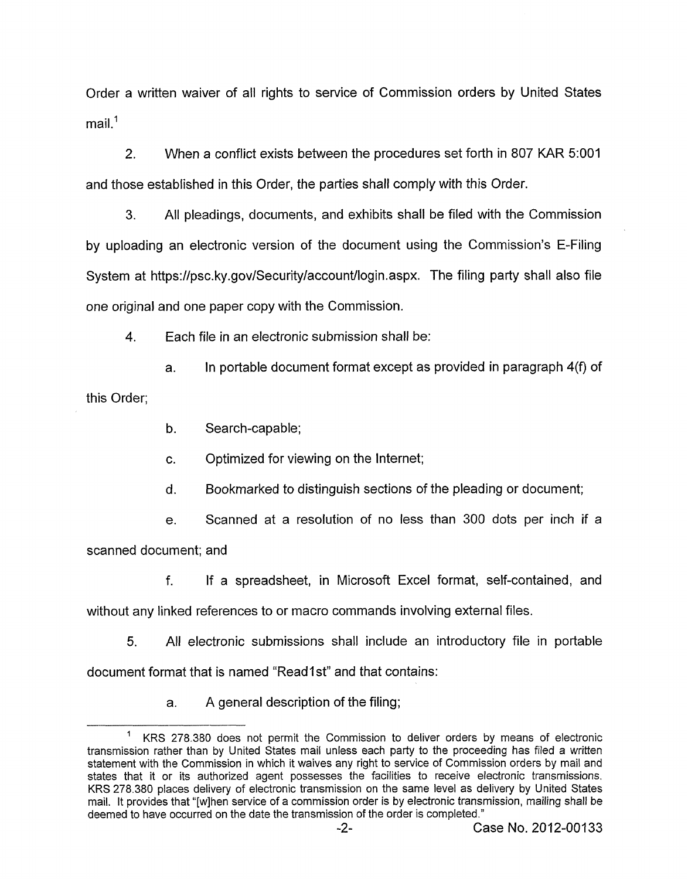Order a written waiver of all rights to service of Commission orders by United States mail.<sup>1</sup>

2. When a conflict exists between the procedures set forth in 807 KAR 5:OOl and those established in this Order, the parties shall comply with this Order.

3. All pleadings, documents, and exhibits shall be filed with the Commission by uploading an electronic version of the document using the Commission's E-Filing System at [https://psc.ky.gov/Security/account/login.aspx.](https://psc.ky.gov/Security/account/login.aspx) The filing party shall also file one original and one paper copy with the Commission.

**4.** Each file in an electronic submission shall be:

a. In portable document format except as provided in paragraph  $4(f)$  of this Order;

b. Search-capable;

c. Optimized for viewing on the Internet;

d. Bookmarked to distinguish sections of the pleading or document;

e. Scanned at a resolution of no less than 300 dots per inch if a

scanned document; and

f. If a spreadsheet, in Microsoft Excel format, self-contained, and

without any linked references to or macro commands involving external files.

5. All electronic submissions shall include an introductory file in portable document format that *is* named "Read1 st" and that contains:

a. A general description of the filing;

<sup>&#</sup>x27; KRS 278.380 does not permit the Commission to deliver orders by means of electronic transmission rather than by United States mail unless each party to the proceeding has filed a written statement with the Commission in which it waives any right to service of Commission orders by mail and states that it or its authorized agent possesses the facilities to receive electronic transmissions. KRS 278.380 places delivery of electronic transmission on the same level as delivery by United States mail. It provides that "[wlhen service of a commission order is by electronic transmission, mailing shall be deemed to have occurred on the date the transmission of the order is completed."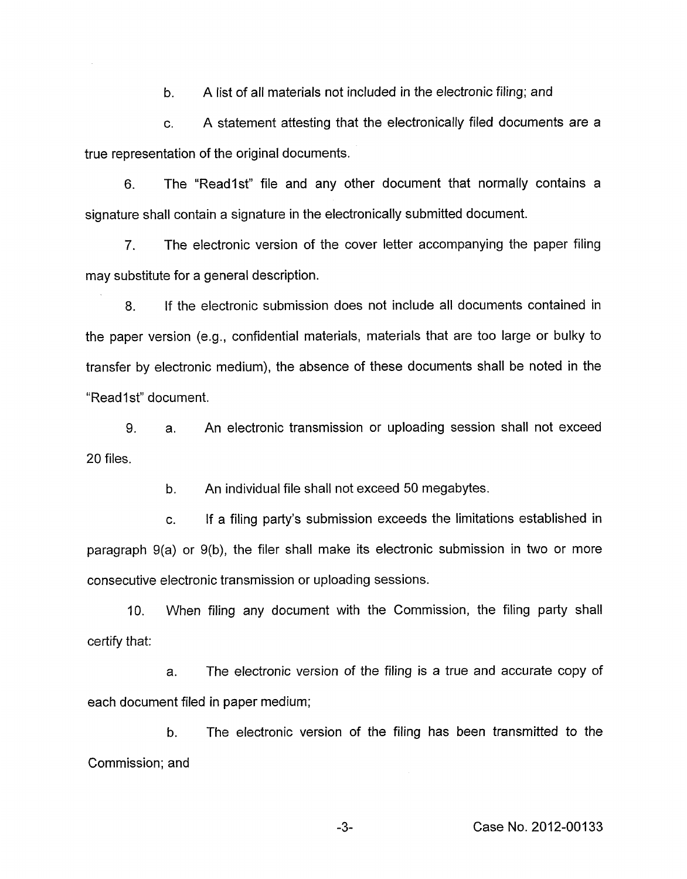b. A list of all materials not included in the electronic filing; and

c. A statement attesting that the electronically filed documents are a true representation of the original documents.

6. The "Readlst" file and any other document that normally contains a signature shall contain a signature in the electronically submitted document.

7. The electronic version of the cover letter accompanying the paper filing may substitute for a general description.

8. If the electronic submission does not include all documents contained in the paper version (e.g., confidential materials, materials that are too large or bulky to transfer by electronic medium), the absence of these documents shall be noted in the "Read1st" document.

9. 20 files. a. An electronic transmission or uploading session shall not exceed

> b. An individual file shall not exceed 50 megabytes.

c. If a filing party's submission exceeds the limitations established in paragraph 9(a) or 9(b), the filer shall make its electronic submission in two or more consecutive electronic transmission or uploading sessions.

10. When filing any document with the Commission, the filing party shall certify that:

a. The electronic version of the filing is a true and accurate copy of each document filed in paper medium;

b. The electronic version of the filing has been transmitted to the Commission; and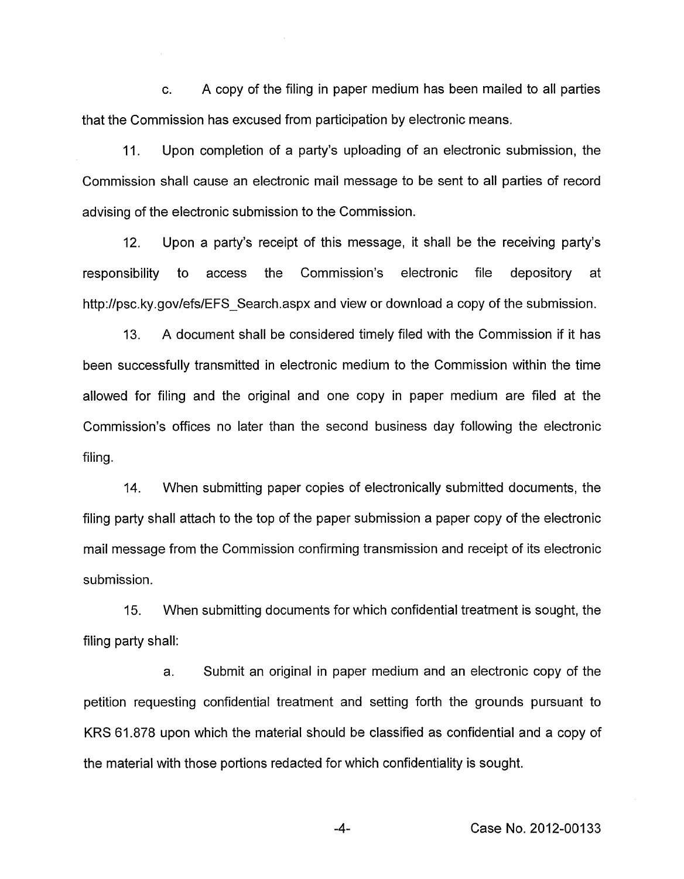c. A copy of the filing in paper medium has been mailed to all parties that the Commission has excused from participation by electronic means.

11. Upon completion of a party's uploading of an electronic submission, the Commission shall cause an electronic mail message to be sent to all parties of record advising of the electronic submission to the Commission.

12. Upon a party's receipt of this message, it shall be the receiving party's responsibility to access the Commission's electronic file depository at <http://psc.ky.gov/efs/EFS-Search.aspx>and view or download a copy of the submission.

A document shall be considered timely filed with the Commission if it has been successfully transmitted in electronic medium to the Commission within the time allowed for filing and the original and one copy in paper medium are filed at the Commission's offices no later than the second business day following the electronic filing. 13.

14. When submitting paper copies of electronically submitted documents, the filing party shall attach to the top of the paper submission a paper copy of the electronic mail message from the Commission confirming transmission and receipt of its electronic submission.

15. filing party shall: When submitting documents for which confidential treatment is sought, the

a. Submit an original in paper medium and an electronic copy of the petition requesting confidential treatment and setting forth the grounds pursuant to KRS 61.878 upon which the material should be classified as confidential and a copy of the material with those portions redacted for which confidentiality is sought.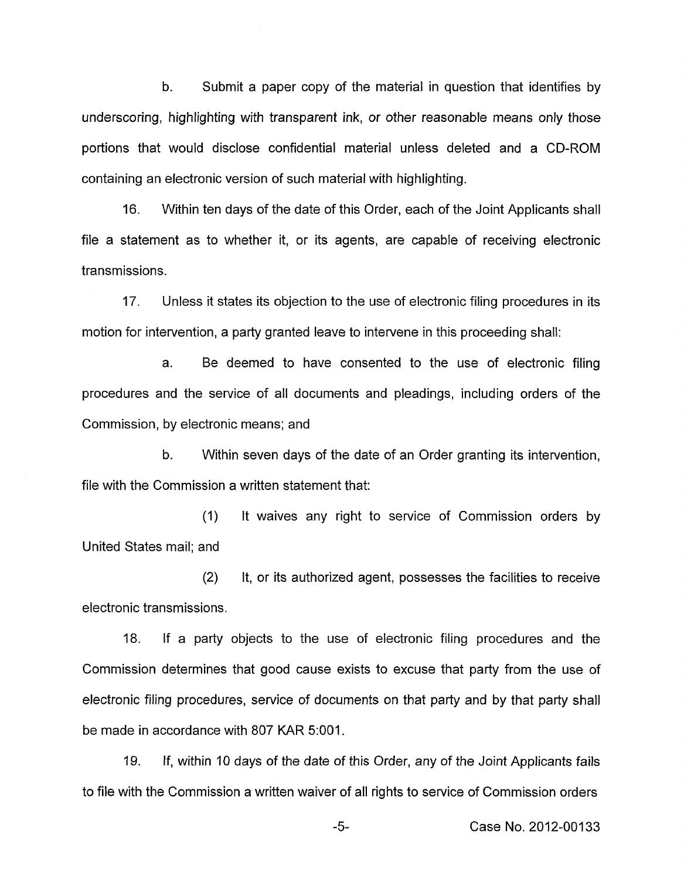b. Submit a paper copy of the material in question that identifies by underscoring, highlighting with transparent ink, or other reasonable means only those portions that would disclose confidential material unless deleted and a CD-ROM containing an electronic version of such material with highlighting.

16. Within ten days of the date of this Order, each of the Joint Applicants shall file a statement as to whether it, or its agents, are capable of receiving electronic transmissions.

17. Unless it states its objection to the use of electronic filing procedures in its motion for intervention, a party granted leave to intervene in this proceeding shall:

a. Be deemed to have consented to the use of electronic filing procedures and the service of all documents and pleadings, including orders of the Commission, by electronic means; and

b. Within seven days of the date of an Order granting its intervention, file with the Commission a written statement that:

(1) United States mail; and It waives any right to service of Commission orders by

(2) It, or its authorized agent, possesses the facilities to receive electronic transmissions.

18. If a party objects to the use of electronic filing procedures and the Commission determines that good cause exists to excuse that party from the use of electronic filing procedures, service of documents on that party and by that party shall be made in accordance with 807 KAR 5:OOl.

19. If, within 10 days of the date of this Order, any of the Joint Applicants fails to file with the Commission a written waiver of all rights to service of Commission orders

-5- Case No. 2012-00133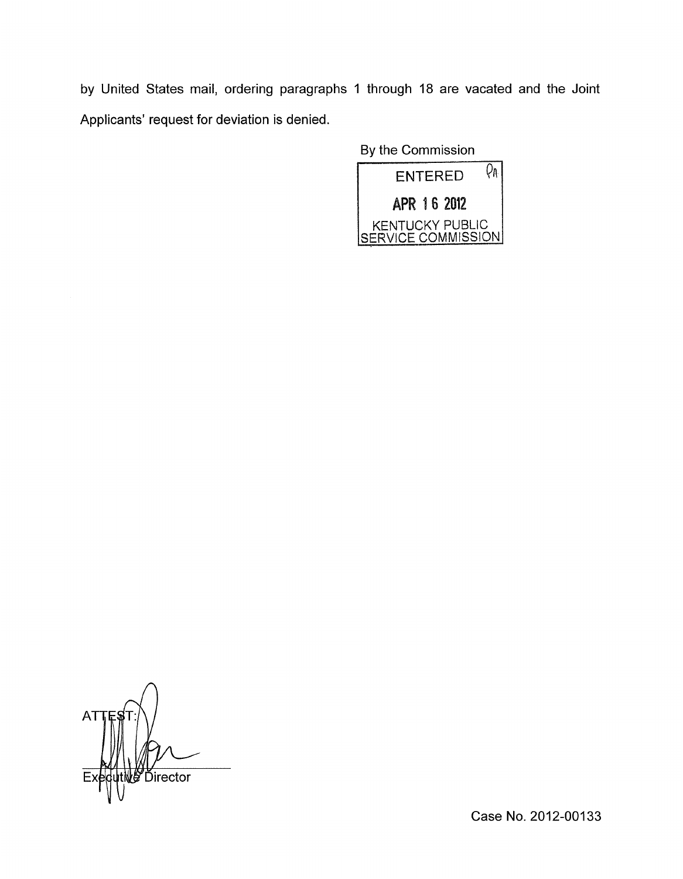by United States mail, ordering paragraphs 1 through 18 are vacated and the Joint Applicants' request for deviation is denied.

By the Commission



ΑT i**s⁄** Director

Case No. 2012-00133